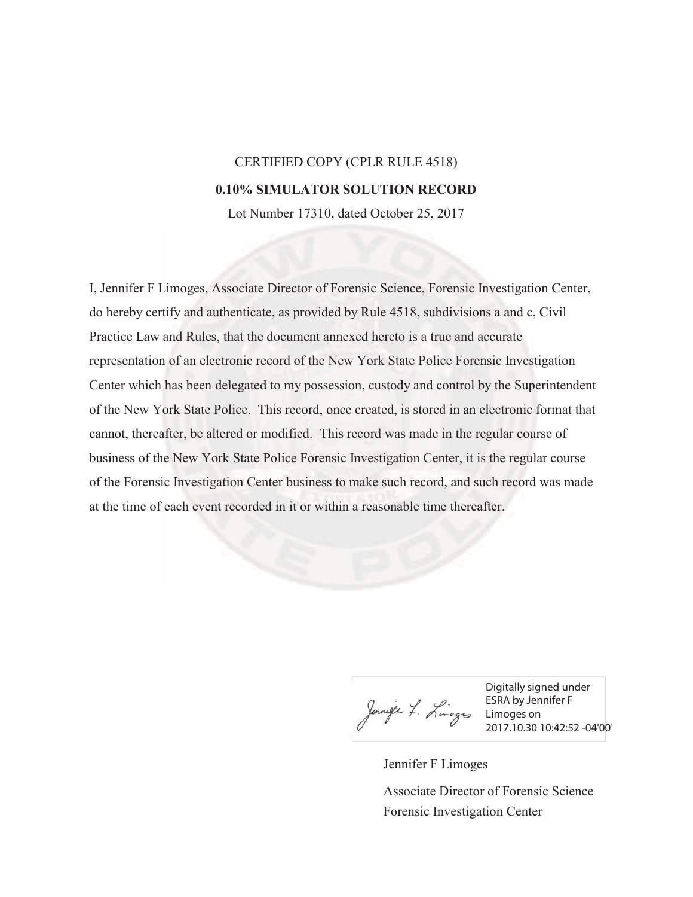## CERTIFIED COPY (CPLR RULE 4518)

## **0.10% SIMULATOR SOLUTION RECORD**

Lot Number 17310, dated October 25, 2017

I, Jennifer F Limoges, Associate Director of Forensic Science, Forensic Investigation Center, do hereby certify and authenticate, as provided by Rule 4518, subdivisions a and c, Civil Practice Law and Rules, that the document annexed hereto is a true and accurate representation of an electronic record of the New York State Police Forensic Investigation Center which has been delegated to my possession, custody and control by the Superintendent of the New York State Police. This record, once created, is stored in an electronic format that cannot, thereafter, be altered or modified. This record was made in the regular course of business of the New York State Police Forensic Investigation Center, it is the regular course of the Forensic Investigation Center business to make such record, and such record was made at the time of each event recorded in it or within a reasonable time thereafter.

Junife 7. Linges ESRA by Jen

Digitally signed under ESRA by Jennifer F 2017.10.30 10:42:52 -04'00'

Jennifer F Limoges

Forensic Investigation Center Associate Director of Forensic Science